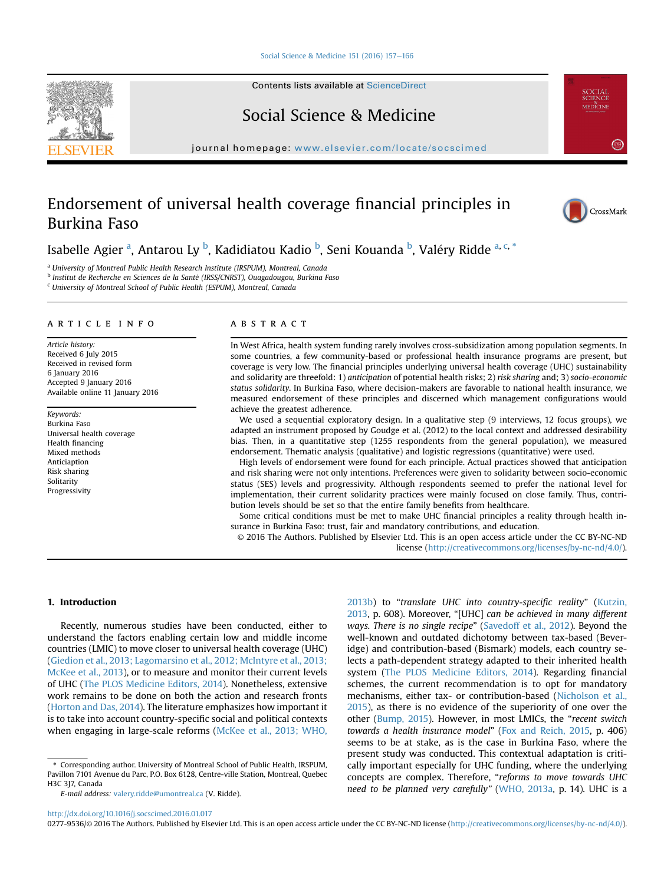#### [Social Science & Medicine 151 \(2016\) 157](http://dx.doi.org/10.1016/j.socscimed.2016.01.017)-[166](http://dx.doi.org/10.1016/j.socscimed.2016.01.017)

Contents lists available at [ScienceDirect](www.sciencedirect.com/science/journal/02779536)

# Social Science & Medicine

journal homepage: [www.elsevier.com/locate/socscimed](http://www.elsevier.com/locate/socscimed)

# Endorsement of universal health coverage financial principles in Burkina Faso



Isabelle Agier <sup>a</sup>, Antarou Ly <sup>b</sup>, Kadidiatou Kadio <sup>b</sup>, Seni Kouanda <sup>b</sup>, Valéry Ridde <sup>a, c, \*</sup>

<sup>a</sup> University of Montreal Public Health Research Institute (IRSPUM), Montreal, Canada

<sup>b</sup> Institut de Recherche en Sciences de la Santé (IRSS/CNRST), Ouagadougou, Burkina Faso

 $c$  University of Montreal School of Public Health (ESPUM), Montreal, Canada

#### article info

Article history: Received 6 July 2015 Received in revised form 6 January 2016 Accepted 9 January 2016 Available online 11 January 2016

Keywords: Burkina Faso Universal health coverage Health financing Mixed methods Anticiaption Risk sharing Solitarity Progressivity

## **ABSTRACT**

In West Africa, health system funding rarely involves cross-subsidization among population segments. In some countries, a few community-based or professional health insurance programs are present, but coverage is very low. The financial principles underlying universal health coverage (UHC) sustainability and solidarity are threefold: 1) anticipation of potential health risks; 2) risk sharing and; 3) socio-economic status solidarity. In Burkina Faso, where decision-makers are favorable to national health insurance, we measured endorsement of these principles and discerned which management configurations would achieve the greatest adherence.

We used a sequential exploratory design. In a qualitative step (9 interviews, 12 focus groups), we adapted an instrument proposed by Goudge et al. (2012) to the local context and addressed desirability bias. Then, in a quantitative step (1255 respondents from the general population), we measured endorsement. Thematic analysis (qualitative) and logistic regressions (quantitative) were used.

High levels of endorsement were found for each principle. Actual practices showed that anticipation and risk sharing were not only intentions. Preferences were given to solidarity between socio-economic status (SES) levels and progressivity. Although respondents seemed to prefer the national level for implementation, their current solidarity practices were mainly focused on close family. Thus, contribution levels should be set so that the entire family benefits from healthcare.

Some critical conditions must be met to make UHC financial principles a reality through health insurance in Burkina Faso: trust, fair and mandatory contributions, and education.

© 2016 The Authors. Published by Elsevier Ltd. This is an open access article under the CC BY-NC-ND license [\(http://creativecommons.org/licenses/by-nc-nd/4.0/](http://creativecommons.org/licenses/by-nc-nd/4.0/)).

# 1. Introduction

Recently, numerous studies have been conducted, either to understand the factors enabling certain low and middle income countries (LMIC) to move closer to universal health coverage (UHC) ([Giedion et al., 2013; Lagomarsino et al., 2012; McIntyre et al., 2013;](#page-8-0) [McKee et al., 2013\)](#page-8-0), or to measure and monitor their current levels of UHC ([The PLOS Medicine Editors, 2014\)](#page-8-0). Nonetheless, extensive work remains to be done on both the action and research fronts ([Horton and Das, 2014](#page-8-0)). The literature emphasizes how important it is to take into account country-specific social and political contexts when engaging in large-scale reforms [\(McKee et al., 2013; WHO,](#page-8-0)

E-mail address: [valery.ridde@umontreal.ca](mailto:valery.ridde@umontreal.ca) (V. Ridde).

[2013b](#page-8-0)) to "translate UHC into country-specific reality" [\(Kutzin,](#page-8-0) [2013,](#page-8-0) p. 608). Moreover, "[UHC] can be achieved in many different ways. There is no single recipe" [\(Savedoff et al., 2012](#page-8-0)). Beyond the well-known and outdated dichotomy between tax-based (Beveridge) and contribution-based (Bismark) models, each country selects a path-dependent strategy adapted to their inherited health system ([The PLOS Medicine Editors, 2014](#page-8-0)). Regarding financial schemes, the current recommendation is to opt for mandatory mechanisms, either tax- or contribution-based ([Nicholson et al.,](#page-8-0) [2015\)](#page-8-0), as there is no evidence of the superiority of one over the other [\(Bump, 2015](#page-8-0)). However, in most LMICs, the "recent switch towards a health insurance model" [\(Fox and Reich, 2015](#page-8-0), p. 406) seems to be at stake, as is the case in Burkina Faso, where the present study was conducted. This contextual adaptation is critically important especially for UHC funding, where the underlying concepts are complex. Therefore, "reforms to move towards UHC need to be planned very carefully" ([WHO, 2013a](#page-9-0), p. 14). UHC is a

<http://dx.doi.org/10.1016/j.socscimed.2016.01.017>

0277-9536/© 2016 The Authors. Published by Elsevier Ltd. This is an open access article under the CC BY-NC-ND license ([http://creativecommons.org/licenses/by-nc-nd/4.0/\)](http://creativecommons.org/licenses/by-nc-nd/4.0/).



<sup>\*</sup> Corresponding author. University of Montreal School of Public Health, IRSPUM, Pavillon 7101 Avenue du Parc, P.O. Box 6128, Centre-ville Station, Montreal, Quebec H3C 3J7, Canada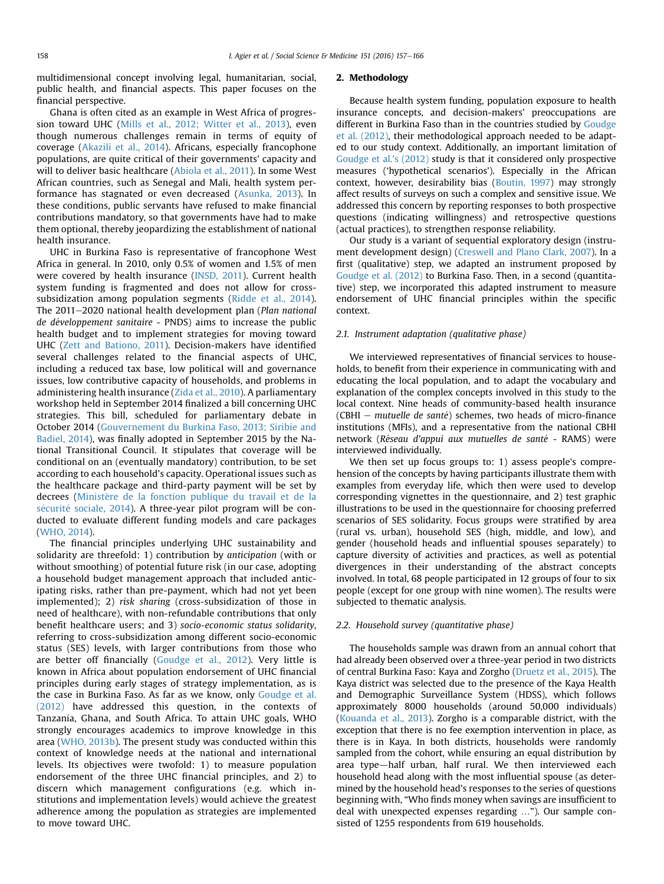multidimensional concept involving legal, humanitarian, social, public health, and financial aspects. This paper focuses on the financial perspective.

Ghana is often cited as an example in West Africa of progression toward UHC [\(Mills et al., 2012; Witter et al., 2013\)](#page-8-0), even though numerous challenges remain in terms of equity of coverage ([Akazili et al., 2014\)](#page-7-0). Africans, especially francophone populations, are quite critical of their governments' capacity and will to deliver basic healthcare [\(Abiola et al., 2011](#page-7-0)). In some West African countries, such as Senegal and Mali, health system performance has stagnated or even decreased ([Asunka, 2013\)](#page-8-0). In these conditions, public servants have refused to make financial contributions mandatory, so that governments have had to make them optional, thereby jeopardizing the establishment of national health insurance.

UHC in Burkina Faso is representative of francophone West Africa in general. In 2010, only 0.5% of women and 1.5% of men were covered by health insurance ([INSD, 2011\)](#page-8-0). Current health system funding is fragmented and does not allow for crosssubsidization among population segments ([Ridde et al., 2014\)](#page-8-0). The  $2011-2020$  national health development plan (Plan national de développement sanitaire - PNDS) aims to increase the public health budget and to implement strategies for moving toward UHC ([Zett and Bationo, 2011\)](#page-9-0). Decision-makers have identified several challenges related to the financial aspects of UHC, including a reduced tax base, low political will and governance issues, low contributive capacity of households, and problems in administering health insurance ([Zida et al., 2010](#page-9-0)). A parliamentary workshop held in September 2014 finalized a bill concerning UHC strategies. This bill, scheduled for parliamentary debate in October 2014 [\(Gouvernement du Burkina Faso, 2013; Siribie and](#page-8-0) [Badiel, 2014\)](#page-8-0), was finally adopted in September 2015 by the National Transitional Council. It stipulates that coverage will be conditional on an (eventually mandatory) contribution, to be set according to each household's capacity. Operational issues such as the healthcare package and third-party payment will be set by decrees (Ministère de la fonction publique du travail et de la sécurité sociale, 2014). A three-year pilot program will be conducted to evaluate different funding models and care packages ([WHO, 2014\)](#page-9-0).

The financial principles underlying UHC sustainability and solidarity are threefold: 1) contribution by anticipation (with or without smoothing) of potential future risk (in our case, adopting a household budget management approach that included anticipating risks, rather than pre-payment, which had not yet been implemented); 2) risk sharing (cross-subsidization of those in need of healthcare), with non-refundable contributions that only benefit healthcare users; and 3) socio-economic status solidarity, referring to cross-subsidization among different socio-economic status (SES) levels, with larger contributions from those who are better off financially ([Goudge et al., 2012](#page-8-0)). Very little is known in Africa about population endorsement of UHC financial principles during early stages of strategy implementation, as is the case in Burkina Faso. As far as we know, only [Goudge et al.](#page-8-0) [\(2012\)](#page-8-0) have addressed this question, in the contexts of Tanzania, Ghana, and South Africa. To attain UHC goals, WHO strongly encourages academics to improve knowledge in this area ([WHO, 2013b](#page-9-0)). The present study was conducted within this context of knowledge needs at the national and international levels. Its objectives were twofold: 1) to measure population endorsement of the three UHC financial principles, and 2) to discern which management configurations (e.g. which institutions and implementation levels) would achieve the greatest adherence among the population as strategies are implemented to move toward UHC.

### 2. Methodology

Because health system funding, population exposure to health insurance concepts, and decision-makers' preoccupations are different in Burkina Faso than in the countries studied by [Goudge](#page-8-0) [et al. \(2012\)](#page-8-0), their methodological approach needed to be adapted to our study context. Additionally, an important limitation of [Goudge et al.](#page-8-0)'s (2012) study is that it considered only prospective measures ('hypothetical scenarios'). Especially in the African context, however, desirability bias ([Boutin, 1997\)](#page-8-0) may strongly affect results of surveys on such a complex and sensitive issue. We addressed this concern by reporting responses to both prospective questions (indicating willingness) and retrospective questions (actual practices), to strengthen response reliability.

Our study is a variant of sequential exploratory design (instrument development design) [\(Creswell and Plano Clark, 2007](#page-8-0)). In a first (qualitative) step, we adapted an instrument proposed by [Goudge et al. \(2012\)](#page-8-0) to Burkina Faso. Then, in a second (quantitative) step, we incorporated this adapted instrument to measure endorsement of UHC financial principles within the specific context.

## 2.1. Instrument adaptation (qualitative phase)

We interviewed representatives of financial services to households, to benefit from their experience in communicating with and educating the local population, and to adapt the vocabulary and explanation of the complex concepts involved in this study to the local context. Nine heads of community-based health insurance  $(CBHI - mutuelle de santé) schemes, two heads of micro-finance$ institutions (MFIs), and a representative from the national CBHI network (Réseau d'appui aux mutuelles de santé - RAMS) were interviewed individually.

We then set up focus groups to: 1) assess people's comprehension of the concepts by having participants illustrate them with examples from everyday life, which then were used to develop corresponding vignettes in the questionnaire, and 2) test graphic illustrations to be used in the questionnaire for choosing preferred scenarios of SES solidarity. Focus groups were stratified by area (rural vs. urban), household SES (high, middle, and low), and gender (household heads and influential spouses separately) to capture diversity of activities and practices, as well as potential divergences in their understanding of the abstract concepts involved. In total, 68 people participated in 12 groups of four to six people (except for one group with nine women). The results were subjected to thematic analysis.

# 2.2. Household survey (quantitative phase)

The households sample was drawn from an annual cohort that had already been observed over a three-year period in two districts of central Burkina Faso: Kaya and Zorgho ([Druetz et al., 2015\)](#page-8-0). The Kaya district was selected due to the presence of the Kaya Health and Demographic Surveillance System (HDSS), which follows approximately 8000 households (around 50,000 individuals) ([Kouanda et al., 2013](#page-8-0)). Zorgho is a comparable district, with the exception that there is no fee exemption intervention in place, as there is in Kaya. In both districts, households were randomly sampled from the cohort, while ensuring an equal distribution by area type-half urban, half rural. We then interviewed each household head along with the most influential spouse (as determined by the household head's responses to the series of questions beginning with, "Who finds money when savings are insufficient to deal with unexpected expenses regarding …"). Our sample consisted of 1255 respondents from 619 households.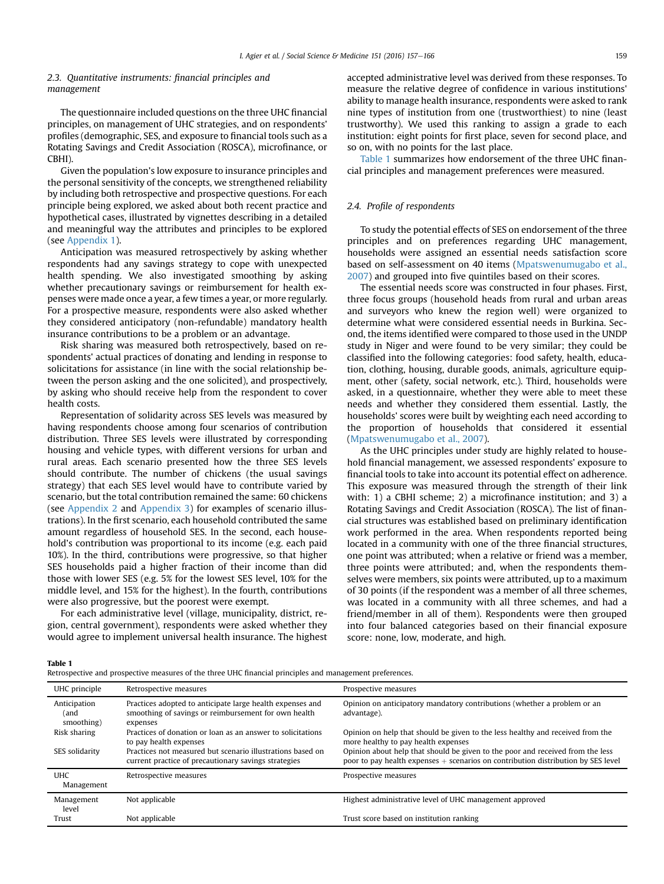# 2.3. Quantitative instruments: financial principles and management

The questionnaire included questions on the three UHC financial principles, on management of UHC strategies, and on respondents' profiles (demographic, SES, and exposure to financial tools such as a Rotating Savings and Credit Association (ROSCA), microfinance, or CBHI).

Given the population's low exposure to insurance principles and the personal sensitivity of the concepts, we strengthened reliability by including both retrospective and prospective questions. For each principle being explored, we asked about both recent practice and hypothetical cases, illustrated by vignettes describing in a detailed and meaningful way the attributes and principles to be explored (see Appendix 1).

Anticipation was measured retrospectively by asking whether respondents had any savings strategy to cope with unexpected health spending. We also investigated smoothing by asking whether precautionary savings or reimbursement for health expenses were made once a year, a few times a year, or more regularly. For a prospective measure, respondents were also asked whether they considered anticipatory (non-refundable) mandatory health insurance contributions to be a problem or an advantage.

Risk sharing was measured both retrospectively, based on respondents' actual practices of donating and lending in response to solicitations for assistance (in line with the social relationship between the person asking and the one solicited), and prospectively, by asking who should receive help from the respondent to cover health costs.

Representation of solidarity across SES levels was measured by having respondents choose among four scenarios of contribution distribution. Three SES levels were illustrated by corresponding housing and vehicle types, with different versions for urban and rural areas. Each scenario presented how the three SES levels should contribute. The number of chickens (the usual savings strategy) that each SES level would have to contribute varied by scenario, but the total contribution remained the same: 60 chickens (see Appendix 2 and Appendix 3) for examples of scenario illustrations). In the first scenario, each household contributed the same amount regardless of household SES. In the second, each household's contribution was proportional to its income (e.g. each paid 10%). In the third, contributions were progressive, so that higher SES households paid a higher fraction of their income than did those with lower SES (e.g. 5% for the lowest SES level, 10% for the middle level, and 15% for the highest). In the fourth, contributions were also progressive, but the poorest were exempt.

For each administrative level (village, municipality, district, region, central government), respondents were asked whether they would agree to implement universal health insurance. The highest accepted administrative level was derived from these responses. To measure the relative degree of confidence in various institutions' ability to manage health insurance, respondents were asked to rank nine types of institution from one (trustworthiest) to nine (least trustworthy). We used this ranking to assign a grade to each institution: eight points for first place, seven for second place, and so on, with no points for the last place.

Table 1 summarizes how endorsement of the three UHC financial principles and management preferences were measured.

# 2.4. Profile of respondents

To study the potential effects of SES on endorsement of the three principles and on preferences regarding UHC management, households were assigned an essential needs satisfaction score based on self-assessment on 40 items [\(Mpatswenumugabo et al.,](#page-8-0) [2007\)](#page-8-0) and grouped into five quintiles based on their scores.

The essential needs score was constructed in four phases. First, three focus groups (household heads from rural and urban areas and surveyors who knew the region well) were organized to determine what were considered essential needs in Burkina. Second, the items identified were compared to those used in the UNDP study in Niger and were found to be very similar; they could be classified into the following categories: food safety, health, education, clothing, housing, durable goods, animals, agriculture equipment, other (safety, social network, etc.). Third, households were asked, in a questionnaire, whether they were able to meet these needs and whether they considered them essential. Lastly, the households' scores were built by weighting each need according to the proportion of households that considered it essential ([Mpatswenumugabo et al., 2007](#page-8-0)).

As the UHC principles under study are highly related to household financial management, we assessed respondents' exposure to financial tools to take into account its potential effect on adherence. This exposure was measured through the strength of their link with: 1) a CBHI scheme; 2) a microfinance institution; and 3) a Rotating Savings and Credit Association (ROSCA). The list of financial structures was established based on preliminary identification work performed in the area. When respondents reported being located in a community with one of the three financial structures, one point was attributed; when a relative or friend was a member, three points were attributed; and, when the respondents themselves were members, six points were attributed, up to a maximum of 30 points (if the respondent was a member of all three schemes, was located in a community with all three schemes, and had a friend/member in all of them). Respondents were then grouped into four balanced categories based on their financial exposure score: none, low, moderate, and high.

#### Table 1

Retrospective and prospective measures of the three UHC financial principles and management preferences.

| UHC principle                      | Retrospective measures                                                                                                        | Prospective measures                                                                                                                                                |
|------------------------------------|-------------------------------------------------------------------------------------------------------------------------------|---------------------------------------------------------------------------------------------------------------------------------------------------------------------|
| Anticipation<br>(and<br>smoothing) | Practices adopted to anticipate large health expenses and<br>smoothing of savings or reimbursement for own health<br>expenses | Opinion on anticipatory mandatory contributions (whether a problem or an<br>advantage).                                                                             |
| Risk sharing                       | Practices of donation or loan as an answer to solicitations<br>to pay health expenses                                         | Opinion on help that should be given to the less healthy and received from the<br>more healthy to pay health expenses                                               |
| SES solidarity                     | Practices not measured but scenario illustrations based on<br>current practice of precautionary savings strategies            | Opinion about help that should be given to the poor and received from the less<br>poor to pay health expenses + scenarios on contribution distribution by SES level |
| <b>UHC</b><br>Management           | Retrospective measures                                                                                                        | Prospective measures                                                                                                                                                |
| Management<br>level                | Not applicable                                                                                                                | Highest administrative level of UHC management approved                                                                                                             |
| Trust                              | Not applicable                                                                                                                | Trust score based on institution ranking                                                                                                                            |
|                                    |                                                                                                                               |                                                                                                                                                                     |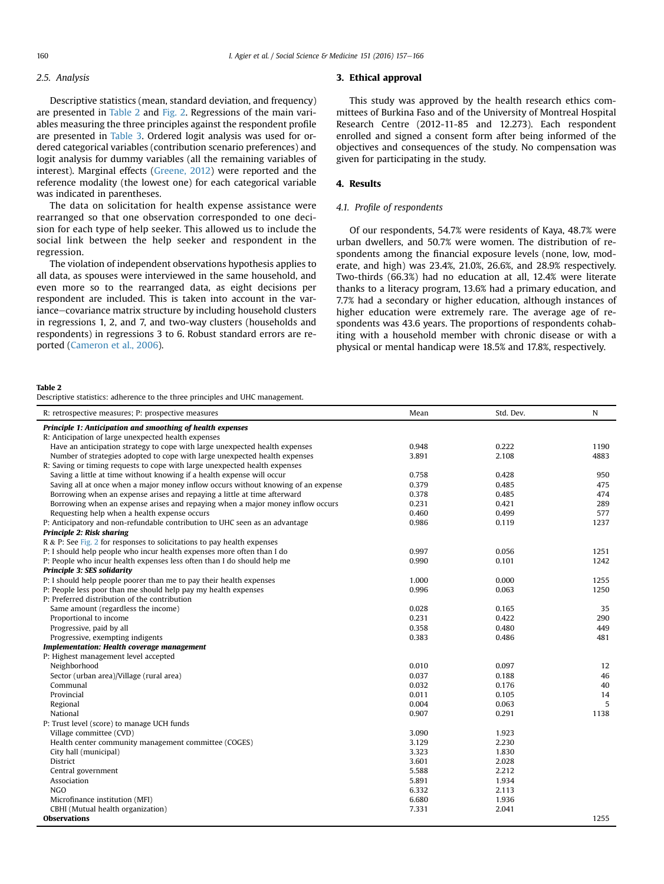# 2.5. Analysis

Descriptive statistics (mean, standard deviation, and frequency) are presented in Table 2 and [Fig. 2](#page-4-0). Regressions of the main variables measuring the three principles against the respondent profile are presented in [Table 3](#page-5-0). Ordered logit analysis was used for ordered categorical variables (contribution scenario preferences) and logit analysis for dummy variables (all the remaining variables of interest). Marginal effects [\(Greene, 2012](#page-8-0)) were reported and the reference modality (the lowest one) for each categorical variable was indicated in parentheses.

The data on solicitation for health expense assistance were rearranged so that one observation corresponded to one decision for each type of help seeker. This allowed us to include the social link between the help seeker and respondent in the regression.

The violation of independent observations hypothesis applies to all data, as spouses were interviewed in the same household, and even more so to the rearranged data, as eight decisions per respondent are included. This is taken into account in the variance-covariance matrix structure by including household clusters in regressions 1, 2, and 7, and two-way clusters (households and respondents) in regressions 3 to 6. Robust standard errors are reported [\(Cameron et al., 2006\)](#page-8-0).

# 3. Ethical approval

This study was approved by the health research ethics committees of Burkina Faso and of the University of Montreal Hospital Research Centre (2012-11-85 and 12.273). Each respondent enrolled and signed a consent form after being informed of the objectives and consequences of the study. No compensation was given for participating in the study.

# 4. Results

# 4.1. Profile of respondents

Of our respondents, 54.7% were residents of Kaya, 48.7% were urban dwellers, and 50.7% were women. The distribution of respondents among the financial exposure levels (none, low, moderate, and high) was 23.4%, 21.0%, 26.6%, and 28.9% respectively. Two-thirds (66.3%) had no education at all, 12.4% were literate thanks to a literacy program, 13.6% had a primary education, and 7.7% had a secondary or higher education, although instances of higher education were extremely rare. The average age of respondents was 43.6 years. The proportions of respondents cohabiting with a household member with chronic disease or with a physical or mental handicap were 18.5% and 17.8%, respectively.

#### Table 2

Descriptive statistics: adherence to the three principles and UHC management.

| R: retrospective measures; P: prospective measures                                | Mean  | Std. Dev. | N    |
|-----------------------------------------------------------------------------------|-------|-----------|------|
| Principle 1: Anticipation and smoothing of health expenses                        |       |           |      |
| R: Anticipation of large unexpected health expenses                               |       |           |      |
| Have an anticipation strategy to cope with large unexpected health expenses       | 0.948 | 0.222     | 1190 |
| Number of strategies adopted to cope with large unexpected health expenses        | 3.891 | 2.108     | 4883 |
| R: Saving or timing requests to cope with large unexpected health expenses        |       |           |      |
| Saving a little at time without knowing if a health expense will occur            | 0.758 | 0.428     | 950  |
| Saving all at once when a major money inflow occurs without knowing of an expense | 0.379 | 0.485     | 475  |
| Borrowing when an expense arises and repaying a little at time afterward          | 0.378 | 0.485     | 474  |
| Borrowing when an expense arises and repaying when a major money inflow occurs    | 0.231 | 0.421     | 289  |
| Requesting help when a health expense occurs                                      | 0.460 | 0.499     | 577  |
| P: Anticipatory and non-refundable contribution to UHC seen as an advantage       | 0.986 | 0.119     | 1237 |
| Principle 2: Risk sharing                                                         |       |           |      |
| $R \& P$ : See Fig. 2 for responses to solicitations to pay health expenses       |       |           |      |
| P: I should help people who incur health expenses more often than I do            | 0.997 | 0.056     | 1251 |
| P: People who incur health expenses less often than I do should help me           | 0.990 | 0.101     | 1242 |
| Principle 3: SES solidarity                                                       |       |           |      |
| P: I should help people poorer than me to pay their health expenses               | 1.000 | 0.000     | 1255 |
| P: People less poor than me should help pay my health expenses                    | 0.996 | 0.063     | 1250 |
| P: Preferred distribution of the contribution                                     |       |           |      |
| Same amount (regardless the income)                                               | 0.028 | 0.165     | 35   |
| Proportional to income                                                            | 0.231 | 0.422     | 290  |
| Progressive, paid by all                                                          | 0.358 | 0.480     | 449  |
| Progressive, exempting indigents                                                  | 0.383 | 0.486     | 481  |
| Implementation: Health coverage management                                        |       |           |      |
| P: Highest management level accepted                                              |       |           |      |
| Neighborhood                                                                      | 0.010 | 0.097     | 12   |
| Sector (urban area)/Village (rural area)                                          | 0.037 | 0.188     | 46   |
| Communal                                                                          | 0.032 | 0.176     | 40   |
| Provincial                                                                        | 0.011 | 0.105     | 14   |
| Regional                                                                          | 0.004 | 0.063     | 5    |
| National                                                                          | 0.907 | 0.291     | 1138 |
| P: Trust level (score) to manage UCH funds                                        |       |           |      |
| Village committee (CVD)                                                           | 3.090 | 1.923     |      |
| Health center community management committee (COGES)                              | 3.129 | 2.230     |      |
| City hall (municipal)                                                             | 3.323 | 1.830     |      |
| District                                                                          | 3.601 | 2.028     |      |
| Central government                                                                | 5.588 | 2.212     |      |
| Association                                                                       | 5.891 | 1.934     |      |
| <b>NGO</b>                                                                        | 6.332 | 2.113     |      |
| Microfinance institution (MFI)                                                    | 6.680 | 1.936     |      |
| CBHI (Mutual health organization)                                                 | 7.331 | 2.041     |      |
| Observations                                                                      |       |           | 1255 |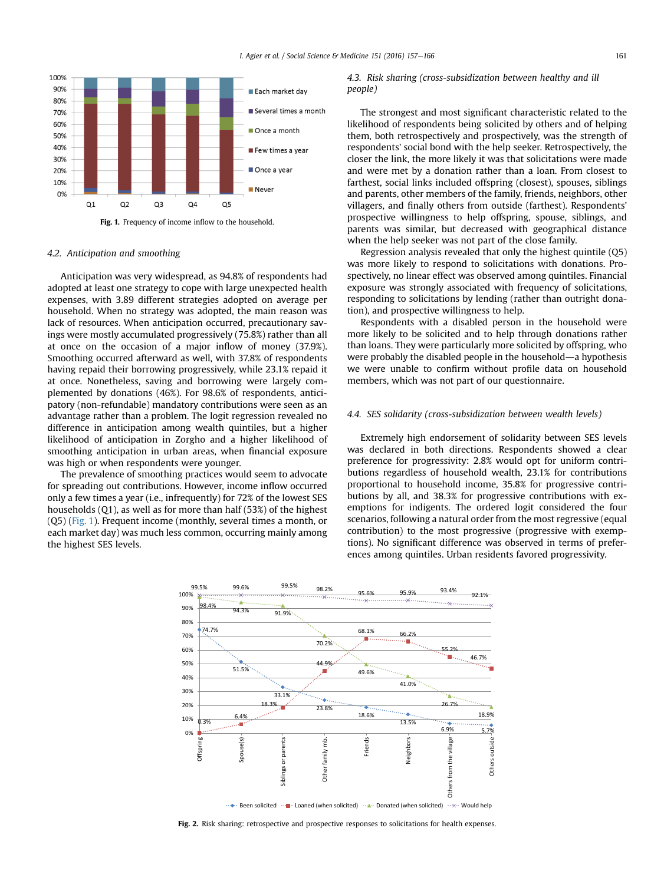<span id="page-4-0"></span>

Fig. 1. Frequency of income inflow to the household.

## 4.2. Anticipation and smoothing

Anticipation was very widespread, as 94.8% of respondents had adopted at least one strategy to cope with large unexpected health expenses, with 3.89 different strategies adopted on average per household. When no strategy was adopted, the main reason was lack of resources. When anticipation occurred, precautionary savings were mostly accumulated progressively (75.8%) rather than all at once on the occasion of a major inflow of money (37.9%). Smoothing occurred afterward as well, with 37.8% of respondents having repaid their borrowing progressively, while 23.1% repaid it at once. Nonetheless, saving and borrowing were largely complemented by donations (46%). For 98.6% of respondents, anticipatory (non-refundable) mandatory contributions were seen as an advantage rather than a problem. The logit regression revealed no difference in anticipation among wealth quintiles, but a higher likelihood of anticipation in Zorgho and a higher likelihood of smoothing anticipation in urban areas, when financial exposure was high or when respondents were younger.

The prevalence of smoothing practices would seem to advocate for spreading out contributions. However, income inflow occurred only a few times a year (i.e., infrequently) for 72% of the lowest SES households (Q1), as well as for more than half (53%) of the highest (Q5) (Fig. 1). Frequent income (monthly, several times a month, or each market day) was much less common, occurring mainly among the highest SES levels.

4.3. Risk sharing (cross-subsidization between healthy and ill people)

The strongest and most significant characteristic related to the likelihood of respondents being solicited by others and of helping them, both retrospectively and prospectively, was the strength of respondents' social bond with the help seeker. Retrospectively, the closer the link, the more likely it was that solicitations were made and were met by a donation rather than a loan. From closest to farthest, social links included offspring (closest), spouses, siblings and parents, other members of the family, friends, neighbors, other villagers, and finally others from outside (farthest). Respondents' prospective willingness to help offspring, spouse, siblings, and parents was similar, but decreased with geographical distance when the help seeker was not part of the close family.

Regression analysis revealed that only the highest quintile (Q5) was more likely to respond to solicitations with donations. Prospectively, no linear effect was observed among quintiles. Financial exposure was strongly associated with frequency of solicitations, responding to solicitations by lending (rather than outright donation), and prospective willingness to help.

Respondents with a disabled person in the household were more likely to be solicited and to help through donations rather than loans. They were particularly more solicited by offspring, who were probably the disabled people in the household—a hypothesis we were unable to confirm without profile data on household members, which was not part of our questionnaire.

#### 4.4. SES solidarity (cross-subsidization between wealth levels)

Extremely high endorsement of solidarity between SES levels was declared in both directions. Respondents showed a clear preference for progressivity: 2.8% would opt for uniform contributions regardless of household wealth, 23.1% for contributions proportional to household income, 35.8% for progressive contributions by all, and 38.3% for progressive contributions with exemptions for indigents. The ordered logit considered the four scenarios, following a natural order from the most regressive (equal contribution) to the most progressive (progressive with exemptions). No significant difference was observed in terms of preferences among quintiles. Urban residents favored progressivity.



 $\cdots$  Been solicited  $\cdots$  T · Loaned (when solicited)  $\cdots$  Donated (when solicited)  $\cdots \times \cdots$  Would help

Fig. 2. Risk sharing: retrospective and prospective responses to solicitations for health expenses.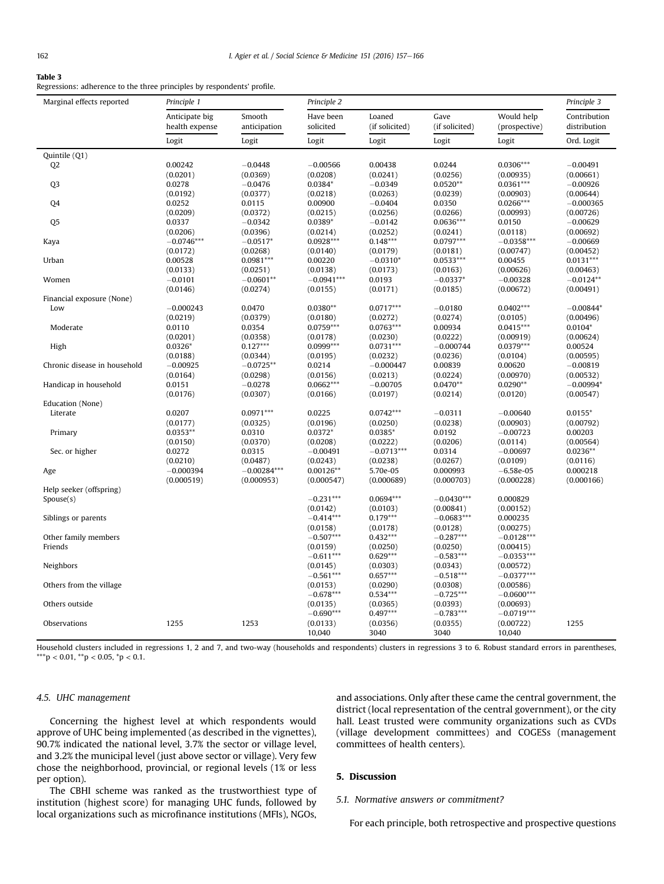#### <span id="page-5-0"></span>Table 3

Regressions: adherence to the three principles by respondents' profile.

| Marginal effects reported    | Principle 1                      |                        | Principle 2            |                          |                        |                             | Principle 3                  |  |
|------------------------------|----------------------------------|------------------------|------------------------|--------------------------|------------------------|-----------------------------|------------------------------|--|
|                              | Anticipate big<br>health expense | Smooth<br>anticipation | Have been<br>solicited | Loaned<br>(if solicited) | Gave<br>(if solicited) | Would help<br>(prospective) | Contribution<br>distribution |  |
|                              | Logit                            | Logit                  | Logit                  | Logit                    | Logit                  | Logit                       | Ord. Logit                   |  |
| Quintile (Q1)                |                                  |                        |                        |                          |                        |                             |                              |  |
| Q <sub>2</sub>               | 0.00242                          | $-0.0448$              | $-0.00566$             | 0.00438                  | 0.0244                 | $0.0306***$                 | $-0.00491$                   |  |
|                              | (0.0201)                         | (0.0369)               | (0.0208)               | (0.0241)                 | (0.0256)               | (0.00935)                   | (0.00661)                    |  |
| Q <sub>3</sub>               | 0.0278                           | $-0.0476$              | 0.0384*                | $-0.0349$                | $0.0520**$             | $0.0361***$                 | $-0.00926$                   |  |
|                              | (0.0192)                         | (0.0377)               | (0.0218)               | (0.0263)                 | (0.0239)               | (0.00903)                   | (0.00644)                    |  |
| Q4                           | 0.0252                           | 0.0115                 | 0.00900                | $-0.0404$                | 0.0350                 | $0.0266***$                 | $-0.000365$                  |  |
|                              | (0.0209)                         | (0.0372)               | (0.0215)               | (0.0256)                 | (0.0266)               | (0.00993)                   | (0.00726)                    |  |
| Q <sub>5</sub>               | 0.0337                           | $-0.0342$              | $0.0389*$              | $-0.0142$                | $0.0636***$            | 0.0150                      | $-0.00629$                   |  |
|                              | (0.0206)                         | (0.0396)               | (0.0214)               | (0.0252)                 | (0.0241)               | (0.0118)                    | (0.00692)                    |  |
| Kaya                         | $-0.0746***$                     | $-0.0517*$             | $0.0928***$            | $0.148***$               | $0.0797***$            | $-0.0358***$                | $-0.00669$                   |  |
|                              | (0.0172)                         | (0.0268)               | (0.0140)               | (0.0179)                 | (0.0181)               | (0.00747)                   | (0.00452)                    |  |
| Urban                        | 0.00528                          | $0.0981***$            | 0.00220                | $-0.0310*$               | $0.0533***$            | 0.00455                     | $0.0131***$                  |  |
|                              | (0.0133)                         | (0.0251)               | (0.0138)               | (0.0173)                 | (0.0163)               | (0.00626)                   | (0.00463)                    |  |
| Women                        | $-0.0101$                        | $-0.0601**$            | $-0.0941***$           | 0.0193                   | $-0.0337*$             | $-0.00328$                  | $-0.0124**$                  |  |
|                              | (0.0146)                         | (0.0274)               | (0.0155)               | (0.0171)                 | (0.0185)               | (0.00672)                   | (0.00491)                    |  |
| Financial exposure (None)    |                                  |                        |                        |                          |                        |                             |                              |  |
| Low                          | $-0.000243$                      | 0.0470                 | $0.0380**$             | $0.0717***$              | $-0.0180$              | $0.0402***$                 | $-0.00844*$                  |  |
|                              | (0.0219)                         | (0.0379)               | (0.0180)               | (0.0272)                 | (0.0274)               | (0.0105)                    | (0.00496)                    |  |
| Moderate                     | 0.0110                           | 0.0354                 | $0.0759***$            | $0.0763***$              | 0.00934                | $0.0415***$                 | $0.0104*$                    |  |
|                              | (0.0201)                         | (0.0358)               | (0.0178)               | (0.0230)                 | (0.0222)               | (0.00919)                   | (0.00624)                    |  |
| High                         | $0.0326*$                        | $0.127***$             | $0.0999***$            | $0.0731***$              | $-0.000744$            | $0.0379***$                 | 0.00524                      |  |
|                              | (0.0188)                         | (0.0344)               | (0.0195)               | (0.0232)                 | (0.0236)               | (0.0104)                    | (0.00595)                    |  |
| Chronic disease in household | $-0.00925$                       | $-0.0725**$            | 0.0214                 | $-0.000447$              | 0.00839                | 0.00620                     | $-0.00819$                   |  |
|                              | (0.0164)                         | (0.0298)               | (0.0156)               | (0.0213)                 | (0.0224)               | (0.00970)                   | (0.00532)                    |  |
| Handicap in household        | 0.0151                           | $-0.0278$              | $0.0662***$            | $-0.00705$               | $0.0470**$             | $0.0290**$                  | $-0.00994*$                  |  |
|                              | (0.0176)                         | (0.0307)               | (0.0166)               | (0.0197)                 | (0.0214)               | (0.0120)                    | (0.00547)                    |  |
| Education (None)             |                                  |                        |                        |                          |                        |                             |                              |  |
| Literate                     | 0.0207                           | $0.0971***$            | 0.0225                 | $0.0742***$              | $-0.0311$              | $-0.00640$                  | $0.0155*$                    |  |
|                              | (0.0177)                         | (0.0325)               | (0.0196)               | (0.0250)                 | (0.0238)               | (0.00903)                   | (0.00792)                    |  |
| Primary                      | $0.0353**$                       | 0.0310                 | $0.0372*$              | $0.0385*$                | 0.0192                 | $-0.00723$                  | 0.00203                      |  |
|                              | (0.0150)                         | (0.0370)               | (0.0208)               | (0.0222)                 | (0.0206)               | (0.0114)                    | (0.00564)                    |  |
| Sec. or higher               | 0.0272                           | 0.0315                 | $-0.00491$             | $-0.0713***$             | 0.0314                 | $-0.00697$                  | $0.0236**$                   |  |
|                              | (0.0210)                         | (0.0487)               | (0.0243)               | (0.0238)                 | (0.0267)               | (0.0109)                    | (0.0116)                     |  |
| Age                          | $-0.000394$                      | $-0.00284***$          | $0.00126**$            | 5.70e-05                 | 0.000993               | $-6.58e-05$                 | 0.000218                     |  |
|                              | (0.000519)                       | (0.000953)             | (0.000547)             | (0.000689)               | (0.000703)             | (0.000228)                  | (0.000166)                   |  |
| Help seeker (offspring)      |                                  |                        |                        |                          |                        |                             |                              |  |
| Spouse(s)                    |                                  |                        | $-0.231***$            | $0.0694***$              | $-0.0430***$           | 0.000829                    |                              |  |
|                              |                                  |                        | (0.0142)               | (0.0103)                 | (0.00841)              | (0.00152)                   |                              |  |
| Siblings or parents          |                                  |                        | $-0.414***$            | $0.179***$               | $-0.0683***$           | 0.000235                    |                              |  |
|                              |                                  |                        | (0.0158)               | (0.0178)                 | (0.0128)               | (0.00275)                   |                              |  |
| Other family members         |                                  |                        | $-0.507***$            | $0.432***$               | $-0.287***$            | $-0.0128***$                |                              |  |
| Friends                      |                                  |                        | (0.0159)               | (0.0250)                 | (0.0250)               | (0.00415)                   |                              |  |
|                              |                                  |                        | $-0.611***$            | $0.629***$               | $-0.583***$            | $-0.0353***$                |                              |  |
| Neighbors                    |                                  |                        | (0.0145)               | (0.0303)                 | (0.0343)               | (0.00572)                   |                              |  |
|                              |                                  |                        | $-0.561***$            | $0.657***$               | $-0.518***$            | $-0.0377***$                |                              |  |
| Others from the village      |                                  |                        | (0.0153)               | (0.0290)                 | (0.0308)               | (0.00586)                   |                              |  |
|                              |                                  |                        | $-0.678***$            | $0.534***$               | $-0.725***$            | $-0.0600***$                |                              |  |
| Others outside               |                                  |                        | (0.0135)               | (0.0365)                 | (0.0393)               | (0.00693)                   |                              |  |
|                              |                                  |                        | $-0.690***$            | $0.497***$               | $-0.783***$            | $-0.0719***$                |                              |  |
| Observations                 | 1255                             | 1253                   | (0.0133)               | (0.0356)<br>3040         | (0.0355)               | (0.00722)<br>10,040         | 1255                         |  |
|                              |                                  |                        | 10,040                 |                          | 3040                   |                             |                              |  |

Household clusters included in regressions 1, 2 and 7, and two-way (households and respondents) clusters in regressions 3 to 6. Robust standard errors in parentheses, \*\*\*p < 0.01, \*\*p < 0.05, \*p < 0.1.

# 4.5. UHC management

Concerning the highest level at which respondents would approve of UHC being implemented (as described in the vignettes), 90.7% indicated the national level, 3.7% the sector or village level, and 3.2% the municipal level (just above sector or village). Very few chose the neighborhood, provincial, or regional levels (1% or less per option).

and associations. Only after these came the central government, the district (local representation of the central government), or the city hall. Least trusted were community organizations such as CVDs (village development committees) and COGESs (management committees of health centers).

# 5. Discussion

The CBHI scheme was ranked as the trustworthiest type of institution (highest score) for managing UHC funds, followed by local organizations such as microfinance institutions (MFIs), NGOs,

#### 5.1. Normative answers or commitment?

For each principle, both retrospective and prospective questions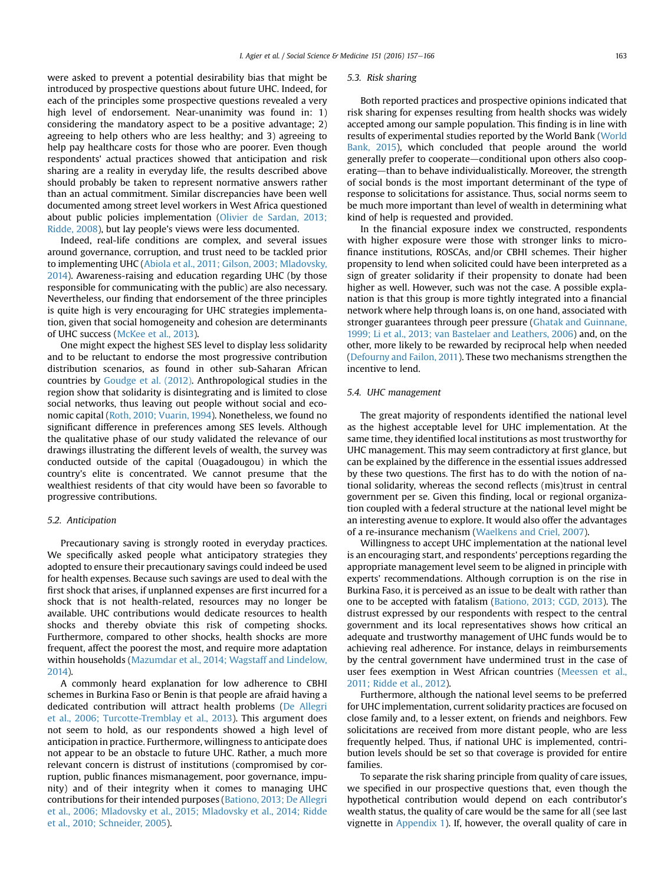were asked to prevent a potential desirability bias that might be introduced by prospective questions about future UHC. Indeed, for each of the principles some prospective questions revealed a very high level of endorsement. Near-unanimity was found in: 1) considering the mandatory aspect to be a positive advantage; 2) agreeing to help others who are less healthy; and 3) agreeing to help pay healthcare costs for those who are poorer. Even though respondents' actual practices showed that anticipation and risk sharing are a reality in everyday life, the results described above should probably be taken to represent normative answers rather than an actual commitment. Similar discrepancies have been well documented among street level workers in West Africa questioned about public policies implementation [\(Olivier de Sardan, 2013;](#page-8-0) [Ridde, 2008\)](#page-8-0), but lay people's views were less documented.

Indeed, real-life conditions are complex, and several issues around governance, corruption, and trust need to be tackled prior to implementing UHC [\(Abiola et al., 2011; Gilson, 2003; Mladovsky,](#page-7-0) [2014\)](#page-7-0). Awareness-raising and education regarding UHC (by those responsible for communicating with the public) are also necessary. Nevertheless, our finding that endorsement of the three principles is quite high is very encouraging for UHC strategies implementation, given that social homogeneity and cohesion are determinants of UHC success [\(McKee et al., 2013\)](#page-8-0).

One might expect the highest SES level to display less solidarity and to be reluctant to endorse the most progressive contribution distribution scenarios, as found in other sub-Saharan African countries by [Goudge et al. \(2012\).](#page-8-0) Anthropological studies in the region show that solidarity is disintegrating and is limited to close social networks, thus leaving out people without social and economic capital [\(Roth, 2010; Vuarin, 1994\)](#page-8-0). Nonetheless, we found no significant difference in preferences among SES levels. Although the qualitative phase of our study validated the relevance of our drawings illustrating the different levels of wealth, the survey was conducted outside of the capital (Ouagadougou) in which the country's elite is concentrated. We cannot presume that the wealthiest residents of that city would have been so favorable to progressive contributions.

#### 5.2. Anticipation

Precautionary saving is strongly rooted in everyday practices. We specifically asked people what anticipatory strategies they adopted to ensure their precautionary savings could indeed be used for health expenses. Because such savings are used to deal with the first shock that arises, if unplanned expenses are first incurred for a shock that is not health-related, resources may no longer be available. UHC contributions would dedicate resources to health shocks and thereby obviate this risk of competing shocks. Furthermore, compared to other shocks, health shocks are more frequent, affect the poorest the most, and require more adaptation within households ([Mazumdar et al., 2014; Wagstaff and Lindelow,](#page-8-0) [2014\)](#page-8-0).

A commonly heard explanation for low adherence to CBHI schemes in Burkina Faso or Benin is that people are afraid having a dedicated contribution will attract health problems [\(De Allegri](#page-8-0) [et al., 2006; Turcotte-Tremblay et al., 2013](#page-8-0)). This argument does not seem to hold, as our respondents showed a high level of anticipation in practice. Furthermore, willingness to anticipate does not appear to be an obstacle to future UHC. Rather, a much more relevant concern is distrust of institutions (compromised by corruption, public finances mismanagement, poor governance, impunity) and of their integrity when it comes to managing UHC contributions for their intended purposes ([Bationo, 2013; De Allegri](#page-8-0) [et al., 2006; Mladovsky et al., 2015; Mladovsky et al., 2014; Ridde](#page-8-0) [et al., 2010; Schneider, 2005](#page-8-0)).

#### 5.3. Risk sharing

Both reported practices and prospective opinions indicated that risk sharing for expenses resulting from health shocks was widely accepted among our sample population. This finding is in line with results of experimental studies reported by the World Bank [\(World](#page-8-0) [Bank, 2015\)](#page-8-0), which concluded that people around the world generally prefer to cooperate—conditional upon others also cooperating—than to behave individualistically. Moreover, the strength of social bonds is the most important determinant of the type of response to solicitations for assistance. Thus, social norms seem to be much more important than level of wealth in determining what kind of help is requested and provided.

In the financial exposure index we constructed, respondents with higher exposure were those with stronger links to microfinance institutions, ROSCAs, and/or CBHI schemes. Their higher propensity to lend when solicited could have been interpreted as a sign of greater solidarity if their propensity to donate had been higher as well. However, such was not the case. A possible explanation is that this group is more tightly integrated into a financial network where help through loans is, on one hand, associated with stronger guarantees through peer pressure [\(Ghatak and Guinnane,](#page-8-0) [1999; Li et al., 2013; van Bastelaer and Leathers, 2006](#page-8-0)) and, on the other, more likely to be rewarded by reciprocal help when needed ([Defourny and Failon, 2011](#page-8-0)). These two mechanisms strengthen the incentive to lend.

## 5.4. UHC management

The great majority of respondents identified the national level as the highest acceptable level for UHC implementation. At the same time, they identified local institutions as most trustworthy for UHC management. This may seem contradictory at first glance, but can be explained by the difference in the essential issues addressed by these two questions. The first has to do with the notion of national solidarity, whereas the second reflects (mis)trust in central government per se. Given this finding, local or regional organization coupled with a federal structure at the national level might be an interesting avenue to explore. It would also offer the advantages of a re-insurance mechanism [\(Waelkens and Criel, 2007](#page-9-0)).

Willingness to accept UHC implementation at the national level is an encouraging start, and respondents' perceptions regarding the appropriate management level seem to be aligned in principle with experts' recommendations. Although corruption is on the rise in Burkina Faso, it is perceived as an issue to be dealt with rather than one to be accepted with fatalism ([Bationo, 2013; CGD, 2013\)](#page-8-0). The distrust expressed by our respondents with respect to the central government and its local representatives shows how critical an adequate and trustworthy management of UHC funds would be to achieving real adherence. For instance, delays in reimbursements by the central government have undermined trust in the case of user fees exemption in West African countries ([Meessen et al.,](#page-8-0) [2011; Ridde et al., 2012\)](#page-8-0).

Furthermore, although the national level seems to be preferred for UHC implementation, current solidarity practices are focused on close family and, to a lesser extent, on friends and neighbors. Few solicitations are received from more distant people, who are less frequently helped. Thus, if national UHC is implemented, contribution levels should be set so that coverage is provided for entire families.

To separate the risk sharing principle from quality of care issues, we specified in our prospective questions that, even though the hypothetical contribution would depend on each contributor's wealth status, the quality of care would be the same for all (see last vignette in Appendix 1). If, however, the overall quality of care in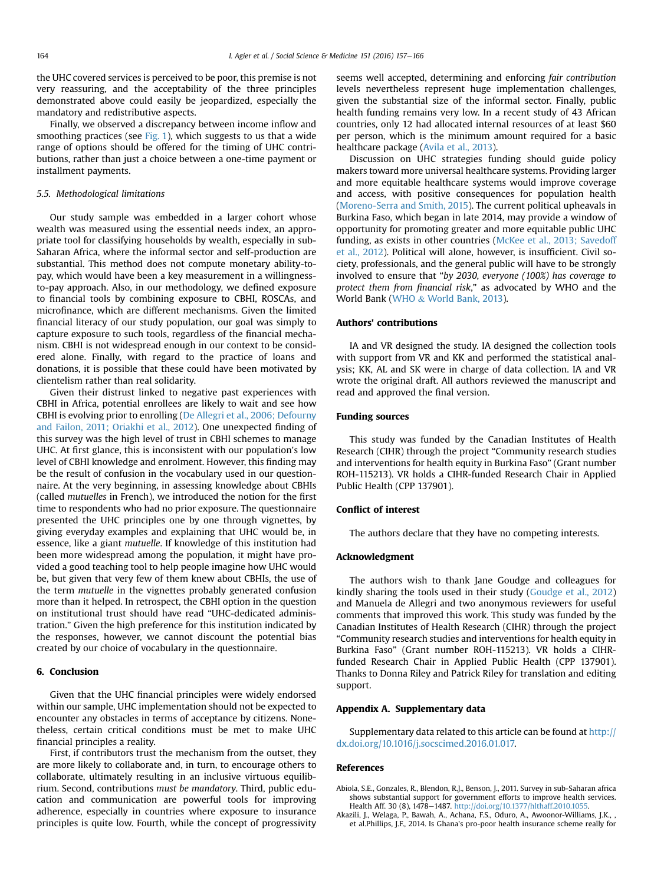<span id="page-7-0"></span>the UHC covered services is perceived to be poor, this premise is not very reassuring, and the acceptability of the three principles demonstrated above could easily be jeopardized, especially the mandatory and redistributive aspects.

Finally, we observed a discrepancy between income inflow and smoothing practices (see [Fig. 1](#page-4-0)), which suggests to us that a wide range of options should be offered for the timing of UHC contributions, rather than just a choice between a one-time payment or installment payments.

## 5.5. Methodological limitations

Our study sample was embedded in a larger cohort whose wealth was measured using the essential needs index, an appropriate tool for classifying households by wealth, especially in sub-Saharan Africa, where the informal sector and self-production are substantial. This method does not compute monetary ability-topay, which would have been a key measurement in a willingnessto-pay approach. Also, in our methodology, we defined exposure to financial tools by combining exposure to CBHI, ROSCAs, and microfinance, which are different mechanisms. Given the limited financial literacy of our study population, our goal was simply to capture exposure to such tools, regardless of the financial mechanism. CBHI is not widespread enough in our context to be considered alone. Finally, with regard to the practice of loans and donations, it is possible that these could have been motivated by clientelism rather than real solidarity.

Given their distrust linked to negative past experiences with CBHI in Africa, potential enrollees are likely to wait and see how CBHI is evolving prior to enrolling [\(De Allegri et al., 2006; Defourny](#page-8-0) [and Failon, 2011; Oriakhi et al., 2012\)](#page-8-0). One unexpected finding of this survey was the high level of trust in CBHI schemes to manage UHC. At first glance, this is inconsistent with our population's low level of CBHI knowledge and enrolment. However, this finding may be the result of confusion in the vocabulary used in our questionnaire. At the very beginning, in assessing knowledge about CBHIs (called mutuelles in French), we introduced the notion for the first time to respondents who had no prior exposure. The questionnaire presented the UHC principles one by one through vignettes, by giving everyday examples and explaining that UHC would be, in essence, like a giant mutuelle. If knowledge of this institution had been more widespread among the population, it might have provided a good teaching tool to help people imagine how UHC would be, but given that very few of them knew about CBHIs, the use of the term mutuelle in the vignettes probably generated confusion more than it helped. In retrospect, the CBHI option in the question on institutional trust should have read "UHC-dedicated administration." Given the high preference for this institution indicated by the responses, however, we cannot discount the potential bias created by our choice of vocabulary in the questionnaire.

## 6. Conclusion

Given that the UHC financial principles were widely endorsed within our sample, UHC implementation should not be expected to encounter any obstacles in terms of acceptance by citizens. Nonetheless, certain critical conditions must be met to make UHC financial principles a reality.

First, if contributors trust the mechanism from the outset, they are more likely to collaborate and, in turn, to encourage others to collaborate, ultimately resulting in an inclusive virtuous equilibrium. Second, contributions must be mandatory. Third, public education and communication are powerful tools for improving adherence, especially in countries where exposure to insurance principles is quite low. Fourth, while the concept of progressivity seems well accepted, determining and enforcing fair contribution levels nevertheless represent huge implementation challenges, given the substantial size of the informal sector. Finally, public health funding remains very low. In a recent study of 43 African countries, only 12 had allocated internal resources of at least \$60 per person, which is the minimum amount required for a basic healthcare package ([Avila et al., 2013\)](#page-8-0).

Discussion on UHC strategies funding should guide policy makers toward more universal healthcare systems. Providing larger and more equitable healthcare systems would improve coverage and access, with positive consequences for population health ([Moreno-Serra and Smith, 2015](#page-8-0)). The current political upheavals in Burkina Faso, which began in late 2014, may provide a window of opportunity for promoting greater and more equitable public UHC funding, as exists in other countries [\(McKee et al., 2013; Savedoff](#page-8-0) [et al., 2012\)](#page-8-0). Political will alone, however, is insufficient. Civil society, professionals, and the general public will have to be strongly involved to ensure that "by 2030, everyone (100%) has coverage to protect them from financial risk," as advocated by WHO and the World Bank [\(WHO](#page-9-0) & [World Bank, 2013](#page-9-0)).

## Authors' contributions

IA and VR designed the study. IA designed the collection tools with support from VR and KK and performed the statistical analysis; KK, AL and SK were in charge of data collection. IA and VR wrote the original draft. All authors reviewed the manuscript and read and approved the final version.

#### Funding sources

This study was funded by the Canadian Institutes of Health Research (CIHR) through the project "Community research studies and interventions for health equity in Burkina Faso" (Grant number ROH-115213). VR holds a CIHR-funded Research Chair in Applied Public Health (CPP 137901).

## Conflict of interest

The authors declare that they have no competing interests.

# Acknowledgment

The authors wish to thank Jane Goudge and colleagues for kindly sharing the tools used in their study ([Goudge et al., 2012\)](#page-8-0) and Manuela de Allegri and two anonymous reviewers for useful comments that improved this work. This study was funded by the Canadian Institutes of Health Research (CIHR) through the project "Community research studies and interventions for health equity in Burkina Faso" (Grant number ROH-115213). VR holds a CIHRfunded Research Chair in Applied Public Health (CPP 137901). Thanks to Donna Riley and Patrick Riley for translation and editing support.

#### Appendix A. Supplementary data

Supplementary data related to this article can be found at [http://](http://dx.doi.org/10.1016/j.socscimed.2016.01.017) [dx.doi.org/10.1016/j.socscimed.2016.01.017.](http://dx.doi.org/10.1016/j.socscimed.2016.01.017)

#### References

- Abiola, S.E., Gonzales, R., Blendon, R.J., Benson, J., 2011. Survey in sub-Saharan africa shows substantial support for government efforts to improve health services. Health Aff. 30 (8), 1478-1487. <http://doi.org/10.1377/hlthaff.2010.1055>.
- Akazili, J., Welaga, P., Bawah, A., Achana, F.S., Oduro, A., Awoonor-Williams, J.K., , et al.Phillips, J.F., 2014. Is Ghana's pro-poor health insurance scheme really for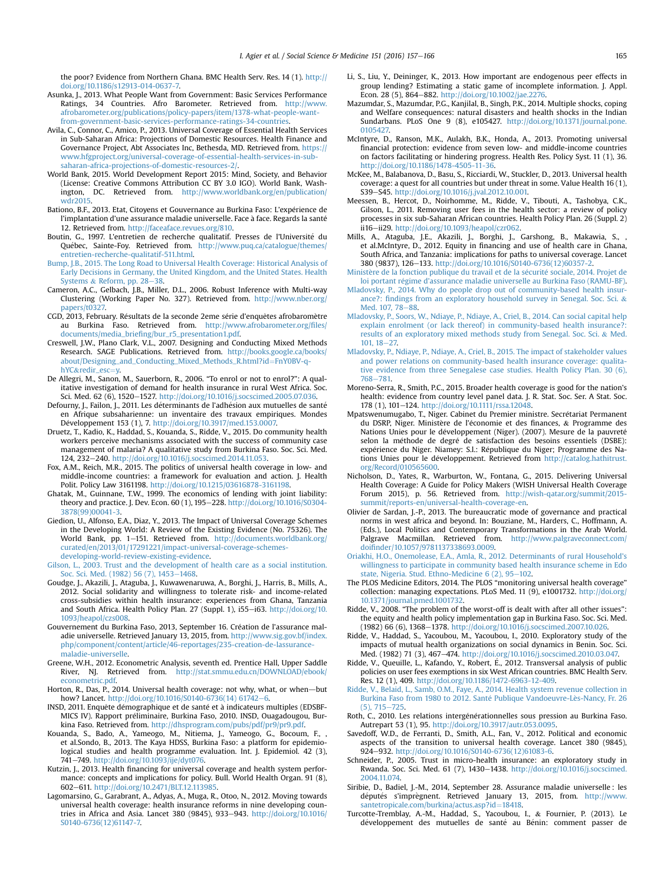<span id="page-8-0"></span>the poor? Evidence from Northern Ghana. BMC Health Serv. Res. 14 (1). [http://](http://doi.org/10.1186/s12913-014-0637-7) [doi.org/10.1186/s12913-014-0637-7.](http://doi.org/10.1186/s12913-014-0637-7)

- Asunka, J., 2013. What People Want from Government: Basic Services Performance Ratings, 34 Countries. Afro Barometer. Retrieved from. [http://www.](http://www.afrobarometer.org/publications/policy-papers/item/1378-what-people-want-from-government-basic-services-performance-ratings-34-countries) [afrobarometer.org/publications/policy-papers/item/1378-what-people-want](http://www.afrobarometer.org/publications/policy-papers/item/1378-what-people-want-from-government-basic-services-performance-ratings-34-countries)[from-government-basic-services-performance-ratings-34-countries](http://www.afrobarometer.org/publications/policy-papers/item/1378-what-people-want-from-government-basic-services-performance-ratings-34-countries).
- Avila, C., Connor, C., Amico, P., 2013. Universal Coverage of Essential Health Services in Sub-Saharan Africa: Projections of Domestic Resources. Health Finance and Governance Project, Abt Associates Inc, Bethesda, MD. Retrieved from. [https://](https://www.hfgproject.org/universal-coverage-of-essential-health-services-in-sub-saharan-africa-projections-of-domestic-resources-2/) [www.hfgproject.org/universal-coverage-of-essential-health-services-in-sub](https://www.hfgproject.org/universal-coverage-of-essential-health-services-in-sub-saharan-africa-projections-of-domestic-resources-2/)[saharan-africa-projections-of-domestic-resources-2/.](https://www.hfgproject.org/universal-coverage-of-essential-health-services-in-sub-saharan-africa-projections-of-domestic-resources-2/)
- World Bank, 2015. World Development Report 2015: Mind, Society, and Behavior (License: Creative Commons Attribution CC BY 3.0 IGO). World Bank, Washington, DC. Retrieved from. [http://www.worldbank.org/en/publication/](http://www.worldbank.org/en/publication/wdr2015) [wdr2015](http://www.worldbank.org/en/publication/wdr2015).
- Bationo, B.F., 2013. Etat, Citoyens et Gouvernance au Burkina Faso: L'experience de l'implantation d'une assurance maladie universelle. Face à face. Regards la santé 12. Retrieved from. <http://faceaface.revues.org/810>.
- Boutin, G., 1997. L'entretien de recherche qualitatif. Presses de l'Université du Quebec, Sainte-Foy. Retrieved from. [http://www.puq.ca/catalogue/themes/](http://www.puq.ca/catalogue/themes/entretien-recherche-qualitatif-511.html) [entretien-recherche-qualitatif-511.html](http://www.puq.ca/catalogue/themes/entretien-recherche-qualitatif-511.html).
- [Bump, J.B., 2015. The Long Road to Universal Health Coverage: Historical Analysis of](http://refhub.elsevier.com/S0277-9536(16)30017-X/sref8) [Early Decisions in Germany, the United Kingdom, and the United States. Health](http://refhub.elsevier.com/S0277-9536(16)30017-X/sref8) [Systems](http://refhub.elsevier.com/S0277-9536(16)30017-X/sref8) & [Reform, pp. 28](http://refhub.elsevier.com/S0277-9536(16)30017-X/sref8)-[38](http://refhub.elsevier.com/S0277-9536(16)30017-X/sref8).
- Cameron, A.C., Gelbach, J.B., Miller, D.L., 2006. Robust Inference with Multi-way Clustering (Working Paper No. 327). Retrieved from. [http://www.nber.org/](http://www.nber.org/papers/t0327) [papers/t0327.](http://www.nber.org/papers/t0327)
- CGD, 2013, February. Résultats de la seconde 2eme série d'enquêtes afrobaromètre au Burkina Faso. Retrieved from. [http://www.afrobarometer.org/](http://www.afrobarometer.org/files/documents/media_briefing/bur_r5_presentation1.pdf)files/ documents/media\_briefi[ng/bur\\_r5\\_presentation1.pdf.](http://www.afrobarometer.org/files/documents/media_briefing/bur_r5_presentation1.pdf)
- Creswell, J.W., Plano Clark, V.L., 2007. Designing and Conducting Mixed Methods Research. SAGE Publications. Retrieved from. [http://books.google.ca/books/](http://books.google.ca/books/about/Designing_and_Conducting_Mixed_Methods_R.html?id=FnY0BV-q-hYC&redir_esc=y) [about/Designing\\_and\\_Conducting\\_Mixed\\_Methods\\_R.html?id](http://books.google.ca/books/about/Designing_and_Conducting_Mixed_Methods_R.html?id=FnY0BV-q-hYC&redir_esc=y)=[FnY0BV-q](http://books.google.ca/books/about/Designing_and_Conducting_Mixed_Methods_R.html?id=FnY0BV-q-hYC&redir_esc=y)[hYC](http://books.google.ca/books/about/Designing_and_Conducting_Mixed_Methods_R.html?id=FnY0BV-q-hYC&redir_esc=y)&[redir\\_esc](http://books.google.ca/books/about/Designing_and_Conducting_Mixed_Methods_R.html?id=FnY0BV-q-hYC&redir_esc=y)=v.
- De Allegri, M., Sanon, M., Sauerborn, R., 2006. "To enrol or not to enrol?": A qualitative investigation of demand for health insurance in rural West Africa. Soc. Sci. Med. 62 (6), 1520-1527. [http://doi.org/10.1016/j.socscimed.2005.07.036.](http://doi.org/10.1016/j.socscimed.2005.07.036)
- Defourny, J., Failon, J., 2011. Les déterminants de l'adhésion aux mutuelles de santé en Afrique subsaharienne: un inventaire des travaux empiriques. Mondes Developpement 153 (1), 7. [http://doi.org/10.3917/med.153.0007.](http://doi.org/10.3917/med.153.0007)
- Druetz, T., Kadio, K., Haddad, S., Kouanda, S., Ridde, V., 2015. Do community health workers perceive mechanisms associated with the success of community case management of malaria? A qualitative study from Burkina Faso. Soc. Sci. Med. 124, 232-240. <http://doi.org/10.1016/j.socscimed.2014.11.053>.
- Fox, A.M., Reich, M.R., 2015. The politics of universal health coverage in low- and middle-income countries: a framework for evaluation and action. J. Health Polit. Policy Law 3161198. [http://doi.org/10.1215/03616878-3161198.](http://doi.org/10.1215/03616878-3161198)
- Ghatak, M., Guinnane, T.W., 1999. The economics of lending with joint liability: theory and practice. J. Dev. Econ. 60 (1), 195-228. [http://doi.org/10.1016/S0304-](http://doi.org/10.1016/S0304-3878(99)00041-3) [3878\(99\)00041-3.](http://doi.org/10.1016/S0304-3878(99)00041-3)
- Giedion, U., Alfonso, E.A., Diaz, Y., 2013. The Impact of Universal Coverage Schemes in the Developing World: A Review of the Existing Evidence (No. 75326). The World Bank, pp. 1-151. Retrieved from. [http://documents.worldbank.org/](http://documents.worldbank.org/curated/en/2013/01/17291221/impact-universal-coverage-schemes-developing-world-review-existing-evidence) [curated/en/2013/01/17291221/impact-universal-coverage-schemes](http://documents.worldbank.org/curated/en/2013/01/17291221/impact-universal-coverage-schemes-developing-world-review-existing-evidence)[developing-world-review-existing-evidence.](http://documents.worldbank.org/curated/en/2013/01/17291221/impact-universal-coverage-schemes-developing-world-review-existing-evidence)
- [Gilson, L., 2003. Trust and the development of health care as a social institution.](http://refhub.elsevier.com/S0277-9536(16)30017-X/sref18) [Soc. Sci. Med. \(1982\) 56 \(7\), 1453](http://refhub.elsevier.com/S0277-9536(16)30017-X/sref18)-[1468.](http://refhub.elsevier.com/S0277-9536(16)30017-X/sref18)
- Goudge, J., Akazili, J., Ataguba, J., Kuwawenaruwa, A., Borghi, J., Harris, B., Mills, A., 2012. Social solidarity and willingness to tolerate risk- and income-related cross-subsidies within health insurance: experiences from Ghana, Tanzania and South Africa. Health Policy Plan. 27 (Suppl. 1), i55-i63. [http://doi.org/10.](http://doi.org/10.1093/heapol/czs008) [1093/heapol/czs008](http://doi.org/10.1093/heapol/czs008).
- Gouvernement du Burkina Faso, 2013, September 16. Création de l'assurance maladie universelle. Retrieved January 13, 2015, from. [http://www.sig.gov.bf/index.](http://www.sig.gov.bf/index.php/component/content/article/46-reportages/235-creation-de-lassurance-maladie-universelle) [php/component/content/article/46-reportages/235-creation-de-lassurance](http://www.sig.gov.bf/index.php/component/content/article/46-reportages/235-creation-de-lassurance-maladie-universelle)[maladie-universelle](http://www.sig.gov.bf/index.php/component/content/article/46-reportages/235-creation-de-lassurance-maladie-universelle).
- Greene, W.H., 2012. Econometric Analysis, seventh ed. Prentice Hall, Upper Saddle River, NJ. Retrieved from. [http://stat.smmu.edu.cn/DOWNLOAD/ebook/](http://stat.smmu.edu.cn/DOWNLOAD/ebook/econometric.pdf) [econometric.pdf.](http://stat.smmu.edu.cn/DOWNLOAD/ebook/econometric.pdf)
- Horton, R., Das, P., 2014. Universal health coverage: not why, what, or when-but how? Lancet. [http://doi.org/10.1016/S0140-6736\(14\) 61742](http://doi.org/10.1016/S0140-6736(14)%2061742%136)-[6.](http://doi.org/10.1016/S0140-6736(14)%2061742%136)
- INSD, 2011. Enquête démographique et de santé et à indicateurs multiples (EDSBF-MICS IV). Rapport preliminaire, Burkina Faso, 2010. INSD, Ouagadougou, Bur kina Faso. Retrieved from. [http://dhsprogram.com/pubs/pdf/pr9/pr9.pdf.](http://dhsprogram.com/pubs/pdf/pr9/pr9.pdf)
- Kouanda, S., Bado, A., Yameogo, M., Nitiema, J., Yameogo, G., Bocoum, F., , et al.Sondo, B., 2013. The Kaya HDSS, Burkina Faso: a platform for epidemiological studies and health programme evaluation. Int. J. Epidemiol. 42 (3), 741-749. [http://doi.org/10.1093/ije/dyt076.](http://doi.org/10.1093/ije/dyt076)
- Kutzin, J., 2013. Health financing for universal coverage and health system performance: concepts and implications for policy. Bull. World Health Organ. 91 (8), 602-611. <http://doi.org/10.2471/BLT.12.113985>.
- Lagomarsino, G., Garabrant, A., Adyas, A., Muga, R., Otoo, N., 2012. Moving towards universal health coverage: health insurance reforms in nine developing countries in Africa and Asia. Lancet 380 (9845), 933-943. [http://doi.org/10.1016/](http://doi.org/10.1016/S0140-6736(12)61147-7) [S0140-6736\(12\)61147-7.](http://doi.org/10.1016/S0140-6736(12)61147-7)
- Li, S., Liu, Y., Deininger, K., 2013. How important are endogenous peer effects in group lending? Estimating a static game of incomplete information. J. Appl. Econ. 28 (5), 864-882. <http://doi.org/10.1002/jae.2276>.
- Mazumdar, S., Mazumdar, P.G., Kanjilal, B., Singh, P.K., 2014. Multiple shocks, coping and Welfare consequences: natural disasters and health shocks in the Indian Sundarbans. PLoS One 9 (8), e105427. [http://doi.org/10.1371/journal.pone.](http://doi.org/10.1371/journal.pone.0105427) [0105427.](http://doi.org/10.1371/journal.pone.0105427)
- McIntyre, D., Ranson, M.K., Aulakh, B.K., Honda, A., 2013. Promoting universal financial protection: evidence from seven low- and middle-income countries on factors facilitating or hindering progress. Health Res. Policy Syst. 11 (1), 36. <http://doi.org/10.1186/1478-4505-11-36>.
- McKee, M., Balabanova, D., Basu, S., Ricciardi, W., Stuckler, D., 2013. Universal health coverage: a quest for all countries but under threat in some. Value Health 16 (1), S39-S45. [http://doi.org/10.1016/j.jval.2012.10.001.](http://doi.org/10.1016/j.jval.2012.10.001)
- Meessen, B., Hercot, D., Noirhomme, M., Ridde, V., Tibouti, A., Tashobya, C.K., Gilson, L., 2011. Removing user fees in the health sector: a review of policy processes in six sub-Saharan African countries. Health Policy Plan. 26 (Suppl. 2) ii16-ii29. <http://doi.org/10.1093/heapol/czr062>.
- Mills, A., Ataguba, J.E., Akazili, J., Borghi, J., Garshong, B., Makawia, S., , et al.McIntyre, D., 2012. Equity in financing and use of health care in Ghana, South Africa, and Tanzania: implications for paths to universal coverage. Lancet 380 (9837), 126-133. [http://doi.org/10.1016/S0140-6736\(12\)60357-2](http://doi.org/10.1016/S0140-6736(12)60357-2)
- Ministère de la fonction publique du travail et de la sécurité [sociale, 2014. Projet de](http://refhub.elsevier.com/S0277-9536(16)30017-X/sref33) loi portant régime d'[assurance maladie universelle au Burkina Faso \(RAMU-BF\)](http://refhub.elsevier.com/S0277-9536(16)30017-X/sref33).
- [Mladovsky, P., 2014. Why do people drop out of community-based health insur](http://refhub.elsevier.com/S0277-9536(16)30017-X/sref34)ance?: fi[ndings from an exploratory household survey in Senegal. Soc. Sci.](http://refhub.elsevier.com/S0277-9536(16)30017-X/sref34) & [Med. 107, 78](http://refhub.elsevier.com/S0277-9536(16)30017-X/sref34)-[88](http://refhub.elsevier.com/S0277-9536(16)30017-X/sref34).
- [Mladovsky, P., Soors, W., Ndiaye, P., Ndiaye, A., Criel, B., 2014. Can social capital help](http://refhub.elsevier.com/S0277-9536(16)30017-X/sref35) [explain enrolment \(or lack thereof\) in community-based health insurance?:](http://refhub.elsevier.com/S0277-9536(16)30017-X/sref35) [results of an exploratory mixed methods study from Senegal. Soc. Sci.](http://refhub.elsevier.com/S0277-9536(16)30017-X/sref35) & [Med.](http://refhub.elsevier.com/S0277-9536(16)30017-X/sref35)  $101, 18 - 27$  $101, 18 - 27$
- [Mladovsky, P., Ndiaye, P., Ndiaye, A., Criel, B., 2015. The impact of stakeholder values](http://refhub.elsevier.com/S0277-9536(16)30017-X/sref36) [and power relations on community-based health insurance coverage: qualita](http://refhub.elsevier.com/S0277-9536(16)30017-X/sref36)[tive evidence from three Senegalese case studies. Health Policy Plan. 30 \(6\),](http://refhub.elsevier.com/S0277-9536(16)30017-X/sref36) [768](http://refhub.elsevier.com/S0277-9536(16)30017-X/sref36)-[781.](http://refhub.elsevier.com/S0277-9536(16)30017-X/sref36)
- Moreno-Serra, R., Smith, P.C., 2015. Broader health coverage is good for the nation's health: evidence from country level panel data. J. R. Stat. Soc. Ser. A Stat. Soc. 178 (1), 101-124. [http://doi.org/10.1111/rssa.12048.](http://doi.org/10.1111/rssa.12048)
- Mpatswenumugabo, T., Niger. Cabinet du Premier ministre. Secretariat Permanent du DSRP, Niger. Ministère de l'économie et des finances, & Programme des Nations Unies pour le développement (Niger). (2007). Mesure de la pauvreté selon la méthode de degré de satisfaction des besoins essentiels (DSBE): expérience du Niger. Niamey: S.l.: République du Niger; Programme des Nations Unies pour le développement. Retrieved from [http://catalog.hathitrust.](http://catalog.hathitrust.org/Record/010565600) [org/Record/010565600.](http://catalog.hathitrust.org/Record/010565600)
- Nicholson, D., Yates, R., Warburton, W., Fontana, G., 2015. Delivering Universal Health Coverage: A Guide for Policy Makers (WISH Universal Health Coverage Forum 2015), p. 56. Retrieved from. [http://wish-qatar.org/summit/2015](http://wish-qatar.org/summit/2015-summit/reports-en/universal-health-coverage-en) [summit/reports-en/universal-health-coverage-en](http://wish-qatar.org/summit/2015-summit/reports-en/universal-health-coverage-en).
- Olivier de Sardan, J.-P., 2013. The bureaucratic mode of governance and practical norms in west africa and beyond. In: Bouziane, M., Harders, C., Hoffmann, A. (Eds.), Local Politics and Contemporary Transformations in the Arab World. Palgrave Macmillan. Retrieved from. [http://www.palgraveconnect.com/](http://www.palgraveconnect.com/doifinder/10.1057/9781137338693.0009) doifi[nder/10.1057/9781137338693.0009](http://www.palgraveconnect.com/doifinder/10.1057/9781137338693.0009).
- [Oriakhi, H.O., Onemolease, E.A., Amla, R., 2012. Determinants of rural Household's](http://refhub.elsevier.com/S0277-9536(16)30017-X/sref41) [willingness to participate in community based health insurance scheme in Edo](http://refhub.elsevier.com/S0277-9536(16)30017-X/sref41) state, Nigeria. Stud. Ethno-Medicine  $6(2)$ ,  $95-102$ .
- The PLOS Medicine Editors, 2014. The PLOS "monitoring universal health coverage" collection: managing expectations. PLoS Med. 11 (9), e1001732. [http://doi.org/](http://doi.org/10.1371/journal.pmed.1001732) [10.1371/journal.pmed.1001732](http://doi.org/10.1371/journal.pmed.1001732).
- Ridde, V., 2008. "The problem of the worst-off is dealt with after all other issues": the equity and health policy implementation gap in Burkina Faso. Soc. Sci. Med. (1982) 66 (6), 1368-1378. [http://doi.org/10.1016/j.socscimed.2007.10.026.](http://doi.org/10.1016/j.socscimed.2007.10.026)
- Ridde, V., Haddad, S., Yacoubou, M., Yacoubou, I., 2010. Exploratory study of the impacts of mutual health organizations on social dynamics in Benin. Soc. Sci. Med. (1982) 71 (3), 467-474. [http://doi.org/10.1016/j.socscimed.2010.03.047.](http://doi.org/10.1016/j.socscimed.2010.03.047)
- Ridde, V., Queuille, L., Kafando, Y., Robert, E., 2012. Transversal analysis of public policies on user fees exemptions in six West African countries. BMC Health Serv. Res. 12 (1), 409. [http://doi.org/10.1186/1472-6963-12-409.](http://doi.org/10.1186/1472-6963-12-409)
- [Ridde, V., Belaid, L., Samb, O.M., Faye, A., 2014. Health system revenue collection in](http://refhub.elsevier.com/S0277-9536(16)30017-X/sref46) Burkina Faso from 1980 to 2012. Santé Publique Vandoeuvre-Lè[s-Nancy, Fr. 26](http://refhub.elsevier.com/S0277-9536(16)30017-X/sref46)  $(5)$ , 715 $-725$ .
- Roth, C., 2010. Les relations intergénérationnelles sous pression au Burkina Faso. Autrepart 53 (1), 95. <http://doi.org/10.3917/autr.053.0095>.
- Savedoff, W.D., de Ferranti, D., Smith, A.L., Fan, V., 2012. Political and economic aspects of the transition to universal health coverage. Lancet 380 (9845), 924e932. [http://doi.org/10.1016/S0140-6736\(12\)61083-6](http://doi.org/10.1016/S0140-6736(12)61083-6).
- Schneider, P., 2005. Trust in micro-health insurance: an exploratory study in Rwanda. Soc. Sci. Med. 61 (7), 1430-1438. [http://doi.org/10.1016/j.socscimed.](http://doi.org/10.1016/j.socscimed.2004.11.074) [2004.11.074.](http://doi.org/10.1016/j.socscimed.2004.11.074)
- Siribie, D., Badiel, J.-M., 2014, September 28. Assurance maladie universelle : les députés s'imprègnent. Retrieved January 13, 2015, from. [http://www.](http://www.santetropicale.com/burkina/actus.asp?id=18418) [santetropicale.com/burkina/actus.asp?id](http://www.santetropicale.com/burkina/actus.asp?id=18418)=[18418](http://www.santetropicale.com/burkina/actus.asp?id=18418).
- Turcotte-Tremblay, A.-M., Haddad, S., Yacoubou, I., & Fournier, P. (2013). Le développement des mutuelles de santé au Bénin: comment passer de